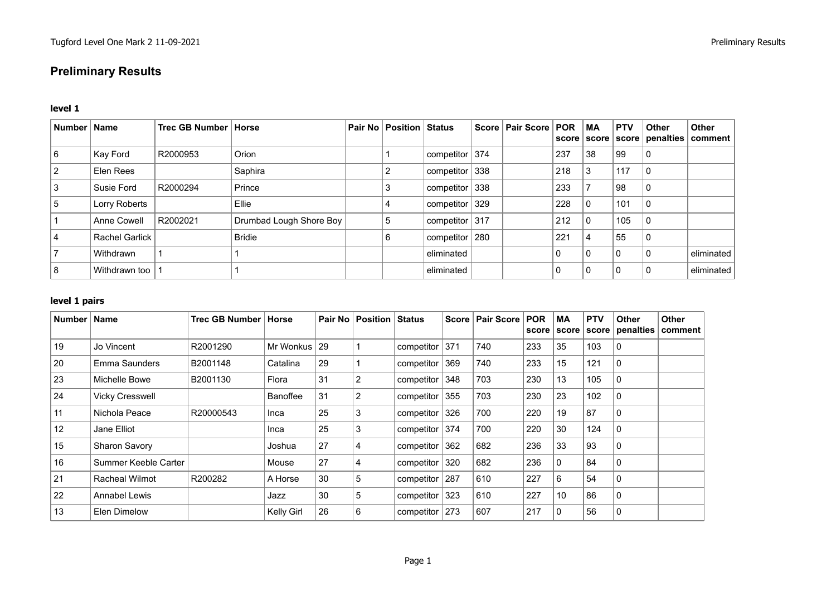# **Preliminary Results**

#### **level 1**

| Number   Name |                       | Trec GB Number   Horse |                         | <b>Pair No   Position   Status</b> |                    | Score   Pair Score   POR |              | <b>MA</b>    | <b>PTV</b> | Other | <b>Other</b><br>  score   score   score   penalties   comment |
|---------------|-----------------------|------------------------|-------------------------|------------------------------------|--------------------|--------------------------|--------------|--------------|------------|-------|---------------------------------------------------------------|
| 6             | Kay Ford              | R2000953               | Orion                   |                                    | competitor $ 374 $ |                          | 237          | 38           | 99         |       |                                                               |
| 2             | Elen Rees             |                        | Saphira                 |                                    | competitor $ 338 $ |                          | 218          | 3            | 117        | 0 '   |                                                               |
| 3             | Susie Ford            | R2000294               | Prince                  |                                    | competitor $ 338 $ |                          | 233          |              | 98         |       |                                                               |
| $5^{\circ}$   | Lorry Roberts         |                        | Ellie                   | 4                                  | competitor $329$   |                          | 228          | $\Omega$     | 101        | 0     |                                                               |
|               | Anne Cowell           | R2002021               | Drumbad Lough Shore Boy | 5                                  | competitor $ 317 $ |                          | 212          | 0            | 105        |       |                                                               |
| 4             | <b>Rachel Garlick</b> |                        | <b>Bridie</b>           | 6                                  | competitor $ 280$  |                          | 221          | 4            | 55         |       |                                                               |
|               | Withdrawn             |                        |                         |                                    | eliminated         |                          | $\mathbf{0}$ | $\mathbf{0}$ | 0          |       | eliminated                                                    |
| 8             | Withdrawn too         |                        |                         |                                    | eliminated         |                          | 0            | 0            | $\Omega$   |       | eliminated                                                    |

## **level 1 pairs**

| <b>Number</b> | <b>Name</b>            | Trec GB Number | Horse      |    | Pair No   Position   Status |                |     | Score   Pair Score | <b>POR</b><br>score | MA<br>score | <b>PTV</b><br>score | <b>Other</b><br>penalties | <b>Other</b><br>comment |
|---------------|------------------------|----------------|------------|----|-----------------------------|----------------|-----|--------------------|---------------------|-------------|---------------------|---------------------------|-------------------------|
| 19            | Jo Vincent             | R2001290       | Mr Wonkus  | 29 |                             | competitor     | 371 | 740                | 233                 | 35          | 103                 | 0                         |                         |
| 20            | Emma Saunders          | B2001148       | Catalina   | 29 |                             | competitor     | 369 | 740                | 233                 | 15          | 121                 | 0                         |                         |
| 23            | Michelle Bowe          | B2001130       | Flora      | 31 | 2                           | competitor     | 348 | 703                | 230                 | 13          | 105                 | 0                         |                         |
| 24            | <b>Vicky Cresswell</b> |                | Banoffee   | 31 | $\overline{2}$              | competitor     | 355 | 703                | 230                 | 23          | 102                 | 0                         |                         |
| 11            | Nichola Peace          | R20000543      | Inca       | 25 | 3                           | competitor     | 326 | 700                | 220                 | 19          | 87                  | 0                         |                         |
| 12            | Jane Elliot            |                | Inca       | 25 | 3                           | competitor     | 374 | 700                | 220                 | 30          | 124                 | 0                         |                         |
| 15            | <b>Sharon Savory</b>   |                | Joshua     | 27 | 4                           | competitor     | 362 | 682                | 236                 | 33          | 93                  | 0                         |                         |
| 16            | Summer Keeble Carter   |                | Mouse      | 27 | 4                           | competitor     | 320 | 682                | 236                 | 0           | 84                  | 0                         |                         |
| 21            | <b>Racheal Wilmot</b>  | R200282        | A Horse    | 30 | 5                           | competitor     | 287 | 610                | 227                 | 6           | 54                  | 0                         |                         |
| 22            | Annabel Lewis          |                | Jazz       | 30 | 5                           | competitor 323 |     | 610                | 227                 | 10          | 86                  | 0                         |                         |
| 13            | Elen Dimelow           |                | Kelly Girl | 26 | 6                           | competitor     | 273 | 607                | 217                 | 0           | 56                  | 0                         |                         |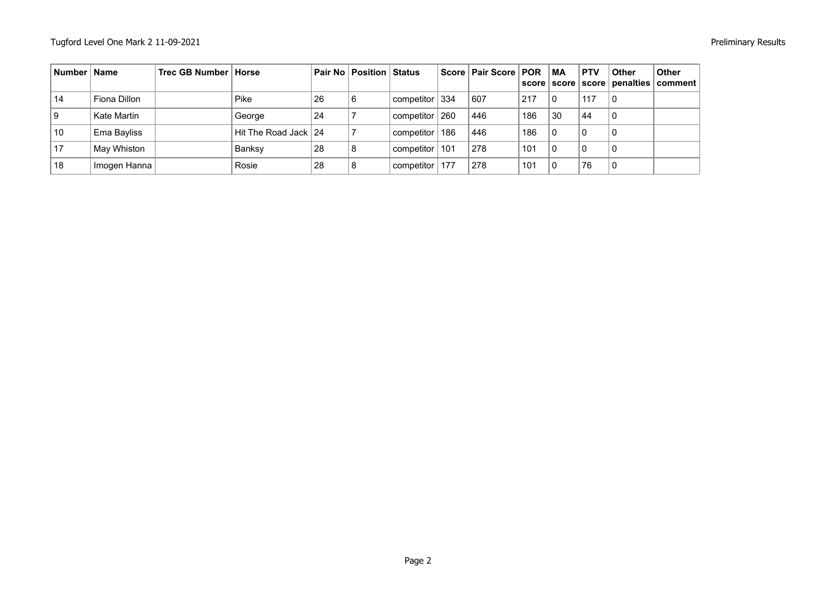| Number   Name |              | Trec GB Number   Horse |                      |    | Pair No   Position   Status |                |     | Score   Pair Score   POR |     | MA | <b>PTV</b><br>score   score   score | <b>Other</b> | <b>Other</b><br>penalties   comment |
|---------------|--------------|------------------------|----------------------|----|-----------------------------|----------------|-----|--------------------------|-----|----|-------------------------------------|--------------|-------------------------------------|
| 14            | Fiona Dillon |                        | Pike                 | 26 | 6                           | competitor 334 |     | 607                      | 217 |    | 117                                 |              |                                     |
|               | Kate Martin  |                        | George               | 24 |                             | competitor     | 260 | 446                      | 186 | 30 | 44                                  |              |                                     |
| 10            | Ema Bayliss  |                        | Hit The Road Jack 24 |    |                             | competitor     | 186 | 446                      | 186 |    | $\Omega$                            | 0            |                                     |
| 17            | May Whiston  |                        | Banksy               | 28 | 8                           | competitor     | 101 | 278                      | 101 |    | $\Omega$                            |              |                                     |
| 18            | Imogen Hanna |                        | Rosie                | 28 | 8                           | competitor     | 177 | 278                      | 101 |    | 76                                  |              |                                     |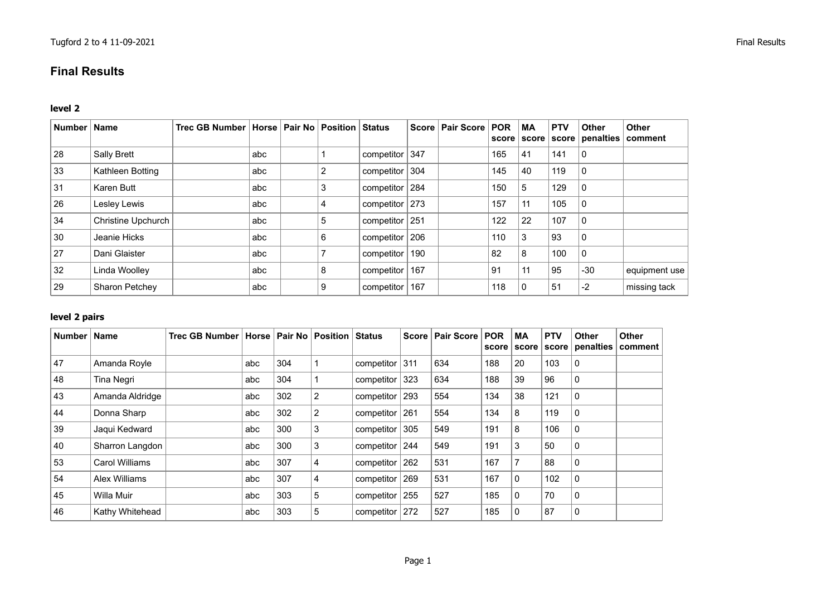## **Final Results**

## **level 2**

| Number | <b>Name</b>           | Trec GB Number   Horse   Pair No   Position   Status |     |   |                    | Score   Pair Score   POR |     | <b>MA</b><br>score score | <b>PTV</b> | <b>Other</b><br>score   penalties | <b>Other</b><br>comment |
|--------|-----------------------|------------------------------------------------------|-----|---|--------------------|--------------------------|-----|--------------------------|------------|-----------------------------------|-------------------------|
| 28     | Sally Brett           |                                                      | abc |   | competitor $347$   |                          | 165 | 41                       | 141        | $\mathbf 0$                       |                         |
| 33     | Kathleen Botting      |                                                      | abc | 2 | competitor 304     |                          | 145 | 40                       | 119        | 0                                 |                         |
| 31     | Karen Butt            |                                                      | abc | 3 | competitor   284   |                          | 150 | 5                        | 129        | $\mathbf 0$                       |                         |
| 26     | Lesley Lewis          |                                                      | abc |   | competitor 273     |                          | 157 | 11                       | 105        | 0                                 |                         |
| 34     | Christine Upchurch    |                                                      | abc | 5 | competitor   251   |                          | 122 | 22                       | 107        | $\mathbf 0$                       |                         |
| 30     | Jeanie Hicks          |                                                      | abc | 6 | competitor   206   |                          | 110 | 3                        | 93         | $\mathbf 0$                       |                         |
| 27     | Dani Glaister         |                                                      | abc |   | competitor   190   |                          | 82  | 8                        | 100        | $\mathbf 0$                       |                         |
| 32     | Linda Woolley         |                                                      | abc | 8 | competitor   $167$ |                          | 91  | 11                       | 95         | $-30$                             | equipment use           |
| 29     | <b>Sharon Petchey</b> |                                                      | abc | 9 | competitor   $167$ |                          | 118 | 0                        | 51         | $-2$                              | missing tack            |

## **level 2 pairs**

| Number | <b>Name</b>     | Trec GB Number   Horse   Pair No   Position   Status |     |     |                |                    |     | Score   Pair Score | <b>POR</b><br>score | <b>MA</b><br>score | <b>PTV</b> | <b>Other</b><br>score   penalties | <b>Other</b><br>comment |
|--------|-----------------|------------------------------------------------------|-----|-----|----------------|--------------------|-----|--------------------|---------------------|--------------------|------------|-----------------------------------|-------------------------|
| 47     | Amanda Royle    |                                                      | abc | 304 |                | competitor $ 311$  |     | 634                | 188                 | 20                 | 103        | 0                                 |                         |
| 48     | Tina Negri      |                                                      | abc | 304 |                | competitor         | 323 | 634                | 188                 | 39                 | 96         | $\mathbf 0$                       |                         |
| 43     | Amanda Aldridge |                                                      | abc | 302 | $\overline{2}$ | componentor        | 293 | 554                | 134                 | 38                 | 121        | 0                                 |                         |
| 44     | Donna Sharp     |                                                      | abc | 302 | 2              | componentor        | 261 | 554                | 134                 | 8                  | 119        | 0                                 |                         |
| 39     | Jaqui Kedward   |                                                      | abc | 300 | 3              | componentor        | 305 | 549                | 191                 | 8                  | 106        | 0                                 |                         |
| 40     | Sharron Langdon |                                                      | abc | 300 | 3              | competitor         | 244 | 549                | 191                 | 3                  | 50         | $\mathbf 0$                       |                         |
| 53     | Carol Williams  |                                                      | abc | 307 | $\overline{4}$ | competitor $ 262 $ |     | 531                | 167                 |                    | 88         | $\mathbf 0$                       |                         |
| 54     | Alex Williams   |                                                      | abc | 307 | 4              | componentor        | 269 | 531                | 167                 | 0                  | 102        | 0                                 |                         |
| 45     | Willa Muir      |                                                      | abc | 303 | 5              | componentor        | 255 | 527                | 185                 | 0                  | 70         | $\mathbf 0$                       |                         |
| 46     | Kathy Whitehead |                                                      | abc | 303 | 5              | componentor        | 272 | 527                | 185                 |                    | 87         | 0                                 |                         |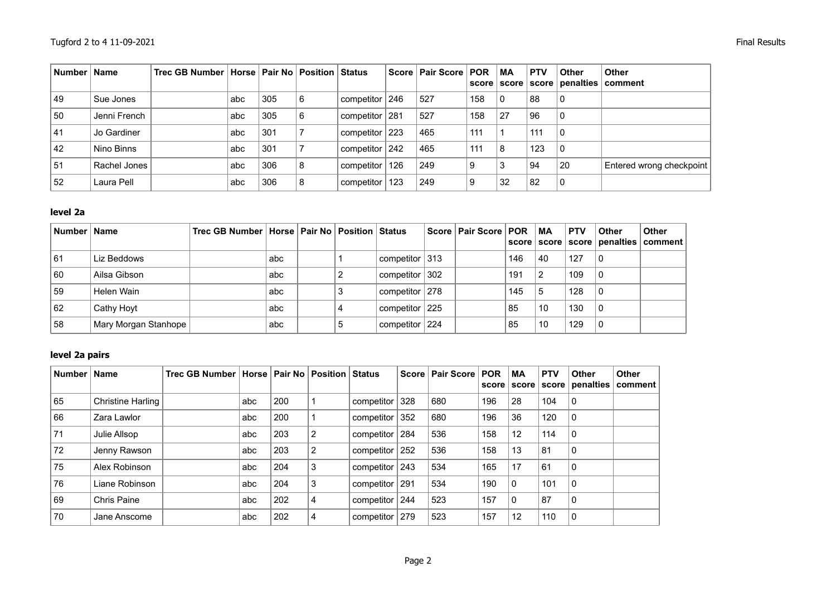| Number   Name |              | Trec GB Number   Horse   Pair No   Position   Status |     |     |   |                    |     | Score   Pair Score   POR |     | МA | <b>PTV</b> | <b>Other</b> | <b>Other</b><br>score   score   score   penalties   comment |
|---------------|--------------|------------------------------------------------------|-----|-----|---|--------------------|-----|--------------------------|-----|----|------------|--------------|-------------------------------------------------------------|
| 49            | Sue Jones    |                                                      | abc | 305 | 6 | l competitor ∣ 246 |     | 527                      | 158 | 0  | 88         | 0            |                                                             |
| 50            | Jenni French |                                                      | abc | 305 | 6 | competitor   281   |     | 527                      | 158 | 27 | 96         | 0            |                                                             |
| 41            | Jo Gardiner  |                                                      | abc | 301 |   | competitor $ 223 $ |     | 465                      | 111 |    | 111        | 0            |                                                             |
| 42            | Nino Binns   |                                                      | abc | 301 |   | competitor   242   |     | 465                      | 111 | 8  | 123        | 0            |                                                             |
| 51            | Rachel Jones |                                                      | abc | 306 | 8 | competitor         | 126 | 249                      | 9   | 3  | 94         | 20           | Entered wrong checkpoint                                    |
| 52            | Laura Pell   |                                                      | abc | 306 | 8 | competitor         | 123 | 249                      | 9   | 32 | 82         | 0            |                                                             |

## **level 2a**

| Number Name |                      | Trec GB Number   Horse   Pair No   Position   Status |     |   |                   | Score   Pair Score   POR |     | ∣ MA | <b>PTV</b> | <b>Other</b> | <b>Other</b><br>score   score   score   penalties   comment |
|-------------|----------------------|------------------------------------------------------|-----|---|-------------------|--------------------------|-----|------|------------|--------------|-------------------------------------------------------------|
| . 61        | Liz Beddows          |                                                      | abc |   | competitor $ 313$ |                          | 146 | 40   | 127        | 0            |                                                             |
| 60          | Ailsa Gibson         |                                                      | abc |   | competitor 302    |                          | 191 | 2    | 109        | 0            |                                                             |
| 59          | Helen Wain           |                                                      | abc |   | competitor   278  |                          | 145 | 5    | 128        | 0            |                                                             |
| 62          | Cathy Hoyt           |                                                      | abc |   | competitor 225    |                          | 85  | 10   | 130        | 0            |                                                             |
| 58          | Mary Morgan Stanhope |                                                      | abc | G | competitor 224    |                          | 85  | 10   | 129        | 0            |                                                             |

## **level 2a pairs**

| Number   Name |                          | Trec GB Number   Horse   Pair No   Position   Status |     |     |   |                   |     | Score   Pair Score   POR | score | <b>MA</b><br>score | <b>PTV</b><br>score | <b>Other</b><br>penalties | <b>Other</b><br>comment |
|---------------|--------------------------|------------------------------------------------------|-----|-----|---|-------------------|-----|--------------------------|-------|--------------------|---------------------|---------------------------|-------------------------|
| 65            | <b>Christine Harling</b> |                                                      | abc | 200 |   | competitor        | 328 | 680                      | 196   | 28                 | 104                 | 0                         |                         |
| 66            | Zara Lawlor              |                                                      | abc | 200 |   | competitor        | 352 | 680                      | 196   | 36                 | 120                 | 0                         |                         |
| 71            | Julie Allsop             |                                                      | abc | 203 | 2 | competitor   284  |     | 536                      | 158   | 12                 | 114                 | 0                         |                         |
| 72            | Jenny Rawson             |                                                      | abc | 203 | 2 | competitor   252  |     | 536                      | 158   | 13                 | 81                  | $\mathbf 0$               |                         |
| 75            | Alex Robinson            |                                                      | abc | 204 | 3 | competitor $ 243$ |     | 534                      | 165   | 17                 | 61                  | 0                         |                         |
| 76            | Liane Robinson           |                                                      | abc | 204 | 3 | competitor   291  |     | 534                      | 190   | 0                  | 101                 | 0                         |                         |
| 69            | <b>Chris Paine</b>       |                                                      | abc | 202 | 4 | competitor $ 244$ |     | 523                      | 157   | 0                  | 87                  | 0                         |                         |
| 70            | Jane Anscome             |                                                      | abc | 202 | 4 | competitor        | 279 | 523                      | 157   | 12                 | 110                 | 0                         |                         |